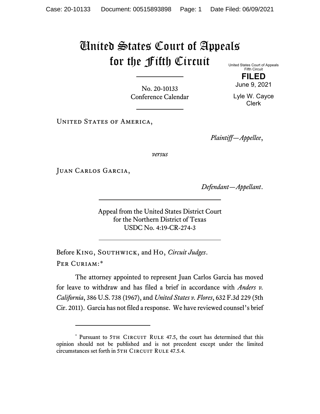## United States Court of Appeals for the Fifth Circuit

United States Court of Appeals Fifth Circuit

No. 20-10133 Conference Calendar

**FILED** June 9, 2021

Lyle W. Cayce Clerk

UNITED STATES OF AMERICA,

*Plaintiff—Appellee*,

*versus*

Juan Carlos Garcia,

*Defendant—Appellant*.

Appeal from the United States District Court for the Northern District of Texas USDC No. 4:19-CR-274-3

Before King, Southwick, and Ho, *Circuit Judges*. Per Curiam:[\\*](#page-0-0)

The attorney appointed to represent Juan Carlos Garcia has moved for leave to withdraw and has filed a brief in accordance with *Anders v. California*, 386 U.S. 738 (1967), and *United States v. Flores*, 632 F.3d 229 (5th Cir. 2011). Garcia has not filed a response. We have reviewed counsel's brief

<span id="page-0-0"></span><sup>\*</sup> Pursuant to 5TH CIRCUIT RULE 47.5, the court has determined that this opinion should not be published and is not precedent except under the limited circumstances set forth in 5TH CIRCUIT RULE 47.5.4.